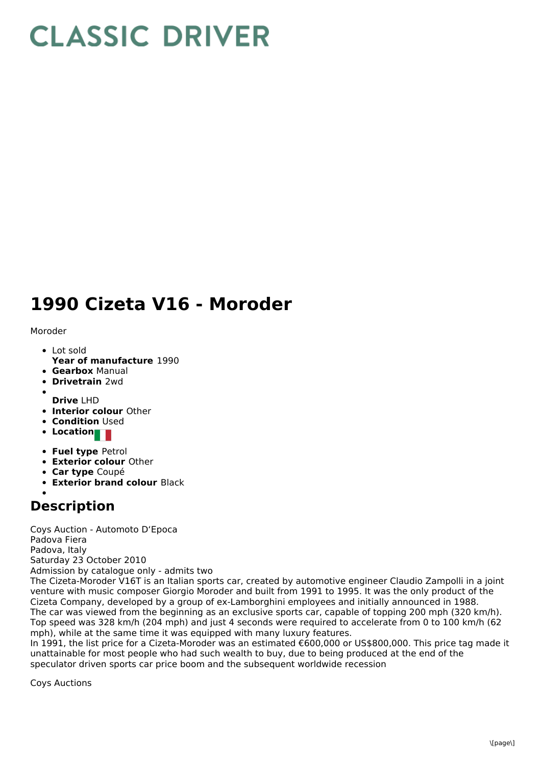## **CLASSIC DRIVER**

## **1990 Cizeta V16 - Moroder**

Moroder

- Lot sold
- **Year of manufacture** 1990
- **Gearbox** Manual
- **Drivetrain** 2wd
- **Drive** LHD
- **Interior colour** Other
- **Condition Used**
- **Location**
- **Fuel type** Petrol
- **Exterior colour** Other
- **Car type** Coupé
- **Exterior brand colour** Black

## **Description**

Coys Auction - Automoto D'Epoca Padova Fiera Padova, Italy Saturday 23 October 2010 Admission by catalogue only - admits two

The Cizeta-Moroder V16T is an Italian sports car, created by automotive engineer Claudio Zampolli in a joint venture with music composer Giorgio Moroder and built from 1991 to 1995. It was the only product of the Cizeta Company, developed by a group of ex-Lamborghini employees and initially announced in 1988. The car was viewed from the beginning as an exclusive sports car, capable of topping 200 mph (320 km/h). Top speed was 328 km/h (204 mph) and just 4 seconds were required to accelerate from 0 to 100 km/h (62 mph), while at the same time it was equipped with many luxury features.

In 1991, the list price for a Cizeta-Moroder was an estimated €600,000 or US\$800,000. This price tag made it unattainable for most people who had such wealth to buy, due to being produced at the end of the speculator driven sports car price boom and the subsequent worldwide recession

Coys Auctions